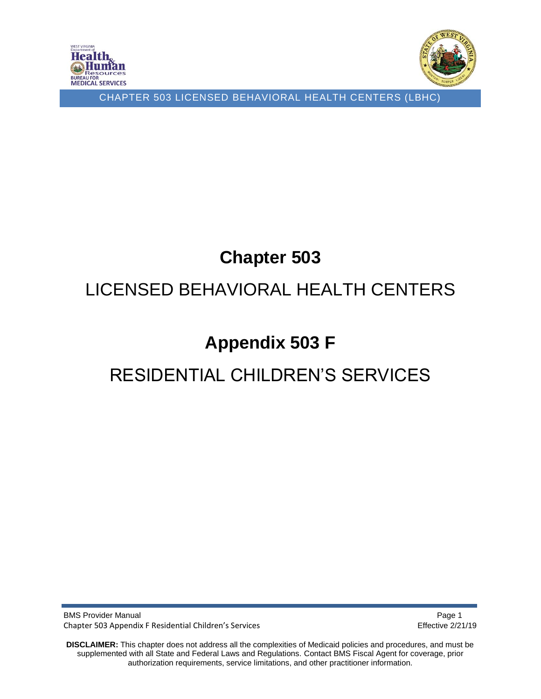



# **Chapter 503**

# LICENSED BEHAVIORAL HEALTH CENTERS

# **Appendix 503 F**

# RESIDENTIAL CHILDREN'S SERVICES

BMS Provider Manual **Page 1** and the state of the state of the state of the state of the state of the state of the state of the state of the state of the state of the state of the state of the state of the state of the sta Chapter 503 Appendix F Residential Children's Services **Effective 2/21/19** Effective 2/21/19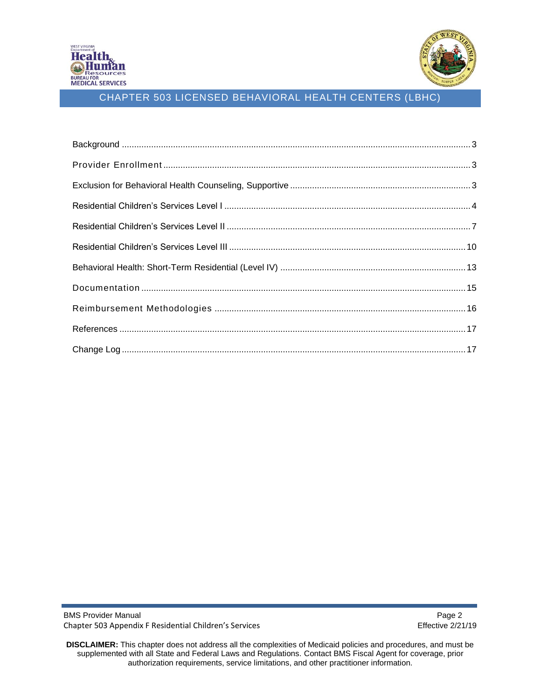

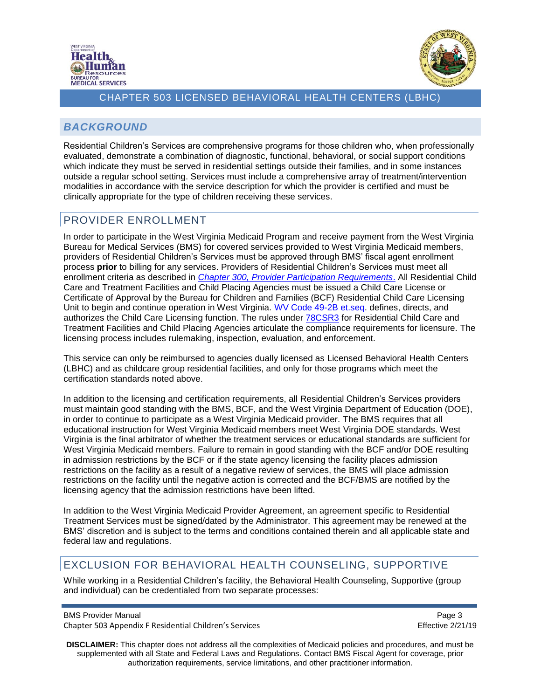



## <span id="page-2-0"></span>*BACKGROUND*

Residential Children's Services are comprehensive programs for those children who, when professionally evaluated, demonstrate a combination of diagnostic, functional, behavioral, or social support conditions which indicate they must be served in residential settings outside their families, and in some instances outside a regular school setting. Services must include a comprehensive array of treatment/intervention modalities in accordance with the service description for which the provider is certified and must be clinically appropriate for the type of children receiving these services.

## <span id="page-2-1"></span>PROVIDER ENROLLMENT

In order to participate in the West Virginia Medicaid Program and receive payment from the West Virginia Bureau for Medical Services (BMS) for covered services provided to West Virginia Medicaid members, providers of Residential Children's Services must be approved through BMS' fiscal agent enrollment process **prior** to billing for any services. Providers of Residential Children's Services must meet all enrollment criteria as described in *[Chapter 300, Provider Participation Requirements](https://dhhr.wv.gov/bms/Pages/Manuals.aspx)*. All Residential Child Care and Treatment Facilities and Child Placing Agencies must be issued a Child Care License or Certificate of Approval by the Bureau for Children and Families (BCF) Residential Child Care Licensing Unit to begin and continue operation in West Virginia. [WV Code 49-2B et.seq.](http://www.legis.state.wv.us/wvcode/ChapterEntire.cfm?chap=49&art=2B) defines, directs, and authorizes the Child Care Licensing function. The rules under [78CSR3](https://dhhr.wv.gov/bcf/Providers/Documents/Residential%20Child%20Care%20Facilities%20Regulations.pdf) for Residential Child Care and Treatment Facilities and Child Placing Agencies articulate the compliance requirements for licensure. The licensing process includes rulemaking, inspection, evaluation, and enforcement.

This service can only be reimbursed to agencies dually licensed as Licensed Behavioral Health Centers (LBHC) and as childcare group residential facilities, and only for those programs which meet the certification standards noted above.

In addition to the licensing and certification requirements, all Residential Children's Services providers must maintain good standing with the BMS, BCF, and the West Virginia Department of Education (DOE), in order to continue to participate as a West Virginia Medicaid provider. The BMS requires that all educational instruction for West Virginia Medicaid members meet West Virginia DOE standards. West Virginia is the final arbitrator of whether the treatment services or educational standards are sufficient for West Virginia Medicaid members. Failure to remain in good standing with the BCF and/or DOE resulting in admission restrictions by the BCF or if the state agency licensing the facility places admission restrictions on the facility as a result of a negative review of services, the BMS will place admission restrictions on the facility until the negative action is corrected and the BCF/BMS are notified by the licensing agency that the admission restrictions have been lifted.

In addition to the West Virginia Medicaid Provider Agreement, an agreement specific to Residential Treatment Services must be signed/dated by the Administrator. This agreement may be renewed at the BMS' discretion and is subject to the terms and conditions contained therein and all applicable state and federal law and regulations.

## <span id="page-2-2"></span>EXCLUSION FOR BEHAVIORAL HEALTH COUNSELING, SUPPORTIVE

While working in a Residential Children's facility, the Behavioral Health Counseling, Supportive (group and individual) can be credentialed from two separate processes:

BMS Provider Manual **Page 3** and the state of the state of the state of the state of the state of the state of the state of the state of the state of the state of the state of the state of the state of the state of the sta

Chapter 503 Appendix F Residential Children's Services Effective 2/21/19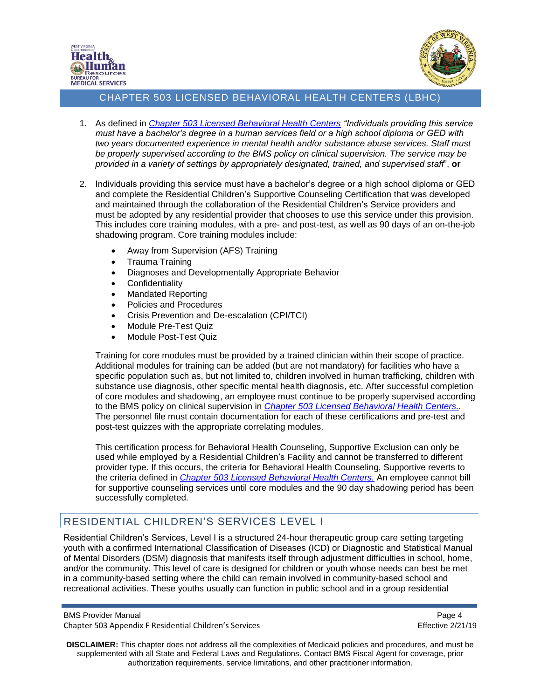



- 1. As defined in *[Chapter 503 Licensed Behavioral Health Centers](https://dhhr.wv.gov/bms/Pages/Manuals.aspx) "Individuals providing this service must have a bachelor's degree in a human services field or a high school diploma or GED with two years documented experience in mental health and/or substance abuse services. Staff must be properly supervised according to the BMS policy on clinical supervision. The service may be provided in a variety of settings by appropriately designated, trained, and supervised staff*", **or**
- 2. Individuals providing this service must have a bachelor's degree or a high school diploma or GED and complete the Residential Children's Supportive Counseling Certification that was developed and maintained through the collaboration of the Residential Children's Service providers and must be adopted by any residential provider that chooses to use this service under this provision. This includes core training modules, with a pre- and post-test, as well as 90 days of an on-the-job shadowing program. Core training modules include:
	- Away from Supervision (AFS) Training
	- Trauma Training
	- Diagnoses and Developmentally Appropriate Behavior
	- Confidentiality
	- Mandated Reporting
	- Policies and Procedures
	- Crisis Prevention and De-escalation (CPI/TCI)
	- Module Pre-Test Quiz
	- Module Post-Test Quiz

Training for core modules must be provided by a trained clinician within their scope of practice. Additional modules for training can be added (but are not mandatory) for facilities who have a specific population such as, but not limited to, children involved in human trafficking, children with substance use diagnosis, other specific mental health diagnosis, etc. After successful completion of core modules and shadowing, an employee must continue to be properly supervised according to the BMS policy on clinical supervision in *[Chapter 503 Licensed Behavioral Health Centers..](https://dhhr.wv.gov/bms/Pages/Manuals.aspx)* The personnel file must contain documentation for each of these certifications and pre-test and post-test quizzes with the appropriate correlating modules.

This certification process for Behavioral Health Counseling, Supportive Exclusion can only be used while employed by a Residential Children's Facility and cannot be transferred to different provider type. If this occurs, the criteria for Behavioral Health Counseling, Supportive reverts to the criteria defined in *[Chapter 503 Licensed Behavioral Health Centers.](https://dhhr.wv.gov/bms/Pages/Manuals.aspx)* An employee cannot bill for supportive counseling services until core modules and the 90 day shadowing period has been successfully completed.

## <span id="page-3-0"></span>RESIDENTIAL CHILDREN'S SERVICES LEVEL I

Residential Children's Services, Level I is a structured 24-hour therapeutic group care setting targeting youth with a confirmed International Classification of Diseases (ICD) or Diagnostic and Statistical Manual of Mental Disorders (DSM) diagnosis that manifests itself through adjustment difficulties in school, home, and/or the community. This level of care is designed for children or youth whose needs can best be met in a community-based setting where the child can remain involved in community-based school and recreational activities. These youths usually can function in public school and in a group residential

BMS Provider Manual **Page 4** and 2008 and 2008 and 2008 and 2008 and 2008 and 2008 and 2008 and 2008 and 2008 and 2008 and 2008 and 2008 and 2008 and 2008 and 2008 and 2008 and 2008 and 2008 and 2008 and 2008 and 2008 and Chapter 503 Appendix F Residential Children's Services Effective 2/21/19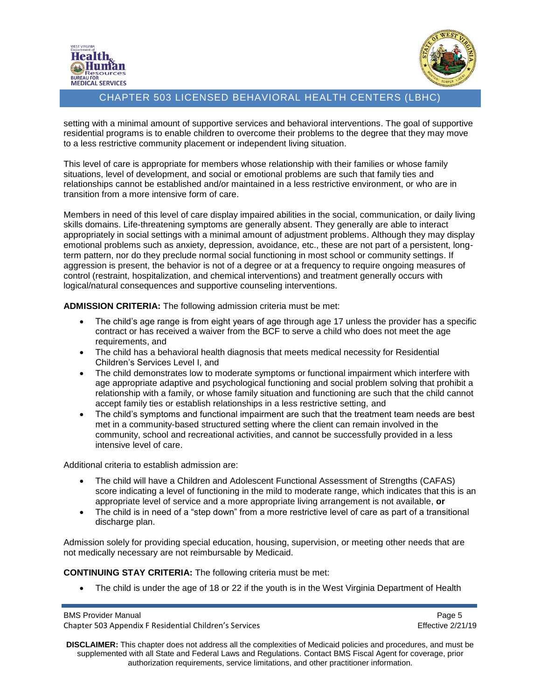



setting with a minimal amount of supportive services and behavioral interventions. The goal of supportive residential programs is to enable children to overcome their problems to the degree that they may move to a less restrictive community placement or independent living situation.

This level of care is appropriate for members whose relationship with their families or whose family situations, level of development, and social or emotional problems are such that family ties and relationships cannot be established and/or maintained in a less restrictive environment, or who are in transition from a more intensive form of care.

Members in need of this level of care display impaired abilities in the social, communication, or daily living skills domains. Life-threatening symptoms are generally absent. They generally are able to interact appropriately in social settings with a minimal amount of adjustment problems. Although they may display emotional problems such as anxiety, depression, avoidance, etc., these are not part of a persistent, longterm pattern, nor do they preclude normal social functioning in most school or community settings. If aggression is present, the behavior is not of a degree or at a frequency to require ongoing measures of control (restraint, hospitalization, and chemical interventions) and treatment generally occurs with logical/natural consequences and supportive counseling interventions.

**ADMISSION CRITERIA:** The following admission criteria must be met:

- The child's age range is from eight years of age through age 17 unless the provider has a specific contract or has received a waiver from the BCF to serve a child who does not meet the age requirements, and
- The child has a behavioral health diagnosis that meets medical necessity for Residential Children's Services Level I, and
- The child demonstrates low to moderate symptoms or functional impairment which interfere with age appropriate adaptive and psychological functioning and social problem solving that prohibit a relationship with a family, or whose family situation and functioning are such that the child cannot accept family ties or establish relationships in a less restrictive setting, and
- The child's symptoms and functional impairment are such that the treatment team needs are best met in a community-based structured setting where the client can remain involved in the community, school and recreational activities, and cannot be successfully provided in a less intensive level of care.

Additional criteria to establish admission are:

- The child will have a Children and Adolescent Functional Assessment of Strengths (CAFAS) score indicating a level of functioning in the mild to moderate range, which indicates that this is an appropriate level of service and a more appropriate living arrangement is not available, **or**
- The child is in need of a "step down" from a more restrictive level of care as part of a transitional discharge plan.

Admission solely for providing special education, housing, supervision, or meeting other needs that are not medically necessary are not reimbursable by Medicaid.

**CONTINUING STAY CRITERIA:** The following criteria must be met:

• The child is under the age of 18 or 22 if the youth is in the West Virginia Department of Health

BMS Provider Manual Page 5 Chapter 503 Appendix F Residential Children's Services Effective 2/21/19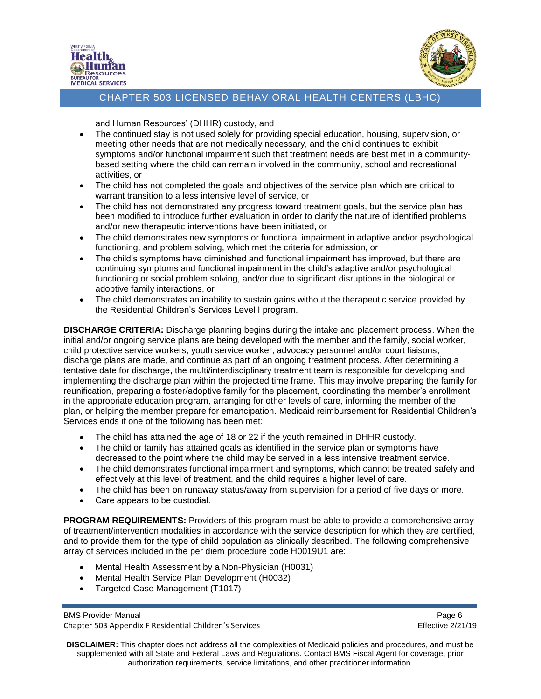



and Human Resources' (DHHR) custody, and

- The continued stay is not used solely for providing special education, housing, supervision, or meeting other needs that are not medically necessary, and the child continues to exhibit symptoms and/or functional impairment such that treatment needs are best met in a communitybased setting where the child can remain involved in the community, school and recreational activities, or
- The child has not completed the goals and objectives of the service plan which are critical to warrant transition to a less intensive level of service, or
- The child has not demonstrated any progress toward treatment goals, but the service plan has been modified to introduce further evaluation in order to clarify the nature of identified problems and/or new therapeutic interventions have been initiated, or
- The child demonstrates new symptoms or functional impairment in adaptive and/or psychological functioning, and problem solving, which met the criteria for admission, or
- The child's symptoms have diminished and functional impairment has improved, but there are continuing symptoms and functional impairment in the child's adaptive and/or psychological functioning or social problem solving, and/or due to significant disruptions in the biological or adoptive family interactions, or
- The child demonstrates an inability to sustain gains without the therapeutic service provided by the Residential Children's Services Level I program.

**DISCHARGE CRITERIA:** Discharge planning begins during the intake and placement process. When the initial and/or ongoing service plans are being developed with the member and the family, social worker, child protective service workers, youth service worker, advocacy personnel and/or court liaisons, discharge plans are made, and continue as part of an ongoing treatment process. After determining a tentative date for discharge, the multi/interdisciplinary treatment team is responsible for developing and implementing the discharge plan within the projected time frame. This may involve preparing the family for reunification, preparing a foster/adoptive family for the placement, coordinating the member's enrollment in the appropriate education program, arranging for other levels of care, informing the member of the plan, or helping the member prepare for emancipation. Medicaid reimbursement for Residential Children's Services ends if one of the following has been met:

- The child has attained the age of 18 or 22 if the youth remained in DHHR custody.
- The child or family has attained goals as identified in the service plan or symptoms have decreased to the point where the child may be served in a less intensive treatment service.
- The child demonstrates functional impairment and symptoms, which cannot be treated safely and effectively at this level of treatment, and the child requires a higher level of care.
- The child has been on runaway status/away from supervision for a period of five days or more.
- Care appears to be custodial.

**PROGRAM REQUIREMENTS:** Providers of this program must be able to provide a comprehensive array of treatment/intervention modalities in accordance with the service description for which they are certified, and to provide them for the type of child population as clinically described. The following comprehensive array of services included in the per diem procedure code H0019U1 are:

- Mental Health Assessment by a Non-Physician (H0031)
- Mental Health Service Plan Development (H0032)
- Targeted Case Management (T1017)

BMS Provider Manual **Page 6** and the state of the state of the state of the state of the state of the state of the state of the state of the state of the state of the state of the state of the state of the state of the sta Chapter 503 Appendix F Residential Children's Services Effective 2/21/19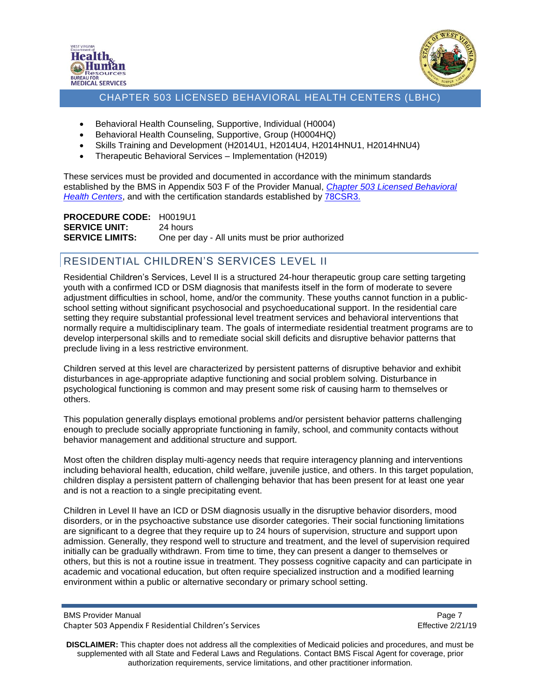



- Behavioral Health Counseling, Supportive, Individual (H0004)
- Behavioral Health Counseling, Supportive, Group (H0004HQ)
- Skills Training and Development (H2014U1, H2014U4, H2014HNU1, H2014HNU4)
- Therapeutic Behavioral Services Implementation (H2019)

These services must be provided and documented in accordance with the minimum standards established by the BMS in Appendix 503 F of the Provider Manual, *[Chapter 503 Licensed Behavioral](https://dhhr.wv.gov/bms/Pages/Manuals.aspx)  Health [Centers](https://dhhr.wv.gov/bms/Pages/Manuals.aspx)*, and with the certification standards established by [78CSR3.](https://dhhr.wv.gov/bcf/Providers/Documents/Residential%20Child%20Care%20Facilities%20Regulations.pdf)

**PROCEDURE CODE:** H0019U1 **SERVICE UNIT:** 24 hours **SERVICE LIMITS:** One per day - All units must be prior authorized

## <span id="page-6-0"></span>RESIDENTIAL CHILDREN'S SERVICES LEVEL II

Residential Children's Services, Level II is a structured 24-hour therapeutic group care setting targeting youth with a confirmed ICD or DSM diagnosis that manifests itself in the form of moderate to severe adjustment difficulties in school, home, and/or the community. These youths cannot function in a publicschool setting without significant psychosocial and psychoeducational support. In the residential care setting they require substantial professional level treatment services and behavioral interventions that normally require a multidisciplinary team. The goals of intermediate residential treatment programs are to develop interpersonal skills and to remediate social skill deficits and disruptive behavior patterns that preclude living in a less restrictive environment.

Children served at this level are characterized by persistent patterns of disruptive behavior and exhibit disturbances in age-appropriate adaptive functioning and social problem solving. Disturbance in psychological functioning is common and may present some risk of causing harm to themselves or others.

This population generally displays emotional problems and/or persistent behavior patterns challenging enough to preclude socially appropriate functioning in family, school, and community contacts without behavior management and additional structure and support.

Most often the children display multi-agency needs that require interagency planning and interventions including behavioral health, education, child welfare, juvenile justice, and others. In this target population, children display a persistent pattern of challenging behavior that has been present for at least one year and is not a reaction to a single precipitating event.

Children in Level II have an ICD or DSM diagnosis usually in the disruptive behavior disorders, mood disorders, or in the psychoactive substance use disorder categories. Their social functioning limitations are significant to a degree that they require up to 24 hours of supervision, structure and support upon admission. Generally, they respond well to structure and treatment, and the level of supervision required initially can be gradually withdrawn. From time to time, they can present a danger to themselves or others, but this is not a routine issue in treatment. They possess cognitive capacity and can participate in academic and vocational education, but often require specialized instruction and a modified learning environment within a public or alternative secondary or primary school setting.

BMS Provider Manual **Page 7** and 2011 12:30 and 2012 12:30 and 2012 12:30 and 2012 12:30 and 2012 12:30 and 2012 12:30 and 2012 12:30 and 2012 12:30 and 2012 12:30 and 2012 12:30 and 2012 12:30 and 2012 12:30 and 2012 12:3 Chapter 503 Appendix F Residential Children's Services Effective 2/21/19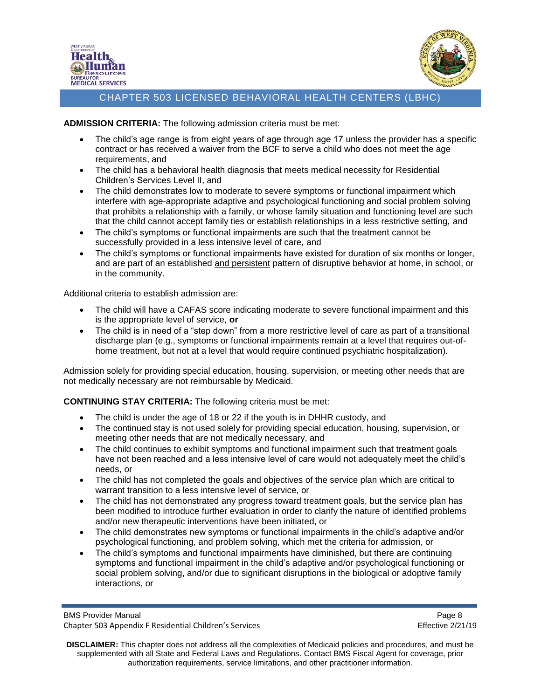



**ADMISSION CRITERIA:** The following admission criteria must be met:

- The child's age range is from eight years of age through age 17 unless the provider has a specific contract or has received a waiver from the BCF to serve a child who does not meet the age requirements, and
- The child has a behavioral health diagnosis that meets medical necessity for Residential Children's Services Level II, and
- The child demonstrates low to moderate to severe symptoms or functional impairment which interfere with age-appropriate adaptive and psychological functioning and social problem solving that prohibits a relationship with a family, or whose family situation and functioning level are such that the child cannot accept family ties or establish relationships in a less restrictive setting, and
- The child's symptoms or functional impairments are such that the treatment cannot be successfully provided in a less intensive level of care, and
- The child's symptoms or functional impairments have existed for duration of six months or longer, and are part of an established and persistent pattern of disruptive behavior at home, in school, or in the community.

Additional criteria to establish admission are:

- The child will have a CAFAS score indicating moderate to severe functional impairment and this is the appropriate level of service, **or**
- The child is in need of a "step down" from a more restrictive level of care as part of a transitional discharge plan (e.g., symptoms or functional impairments remain at a level that requires out-ofhome treatment, but not at a level that would require continued psychiatric hospitalization).

Admission solely for providing special education, housing, supervision, or meeting other needs that are not medically necessary are not reimbursable by Medicaid.

**CONTINUING STAY CRITERIA:** The following criteria must be met:

- The child is under the age of 18 or 22 if the youth is in DHHR custody, and
- The continued stay is not used solely for providing special education, housing, supervision, or meeting other needs that are not medically necessary, and
- The child continues to exhibit symptoms and functional impairment such that treatment goals have not been reached and a less intensive level of care would not adequately meet the child's needs, or
- The child has not completed the goals and objectives of the service plan which are critical to warrant transition to a less intensive level of service, or
- The child has not demonstrated any progress toward treatment goals, but the service plan has been modified to introduce further evaluation in order to clarify the nature of identified problems and/or new therapeutic interventions have been initiated, or
- The child demonstrates new symptoms or functional impairments in the child's adaptive and/or psychological functioning, and problem solving, which met the criteria for admission, or
- The child's symptoms and functional impairments have diminished, but there are continuing symptoms and functional impairment in the child's adaptive and/or psychological functioning or social problem solving, and/or due to significant disruptions in the biological or adoptive family interactions, or

BMS Provider Manual **Page 8** and 2011 12:30 and 2012 12:30 and 2012 12:30 and 2012 12:30 and 2012 12:30 and 2012 12:30 and 2012 12:30 and 2012 12:30 and 2012 12:30 and 2012 12:30 and 2012 12:30 and 2012 12:30 and 2012 12:3 Chapter 503 Appendix F Residential Children's Services Effective 2/21/19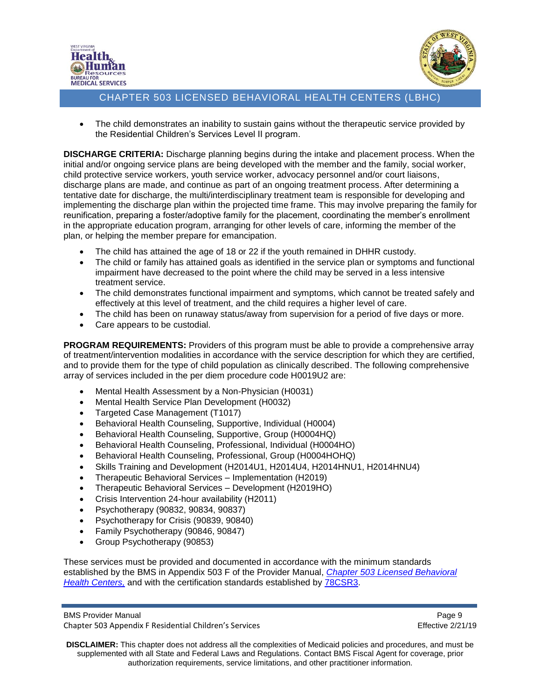



• The child demonstrates an inability to sustain gains without the therapeutic service provided by the Residential Children's Services Level II program.

**DISCHARGE CRITERIA:** Discharge planning begins during the intake and placement process. When the initial and/or ongoing service plans are being developed with the member and the family, social worker, child protective service workers, youth service worker, advocacy personnel and/or court liaisons, discharge plans are made, and continue as part of an ongoing treatment process. After determining a tentative date for discharge, the multi/interdisciplinary treatment team is responsible for developing and implementing the discharge plan within the projected time frame. This may involve preparing the family for reunification, preparing a foster/adoptive family for the placement, coordinating the member's enrollment in the appropriate education program, arranging for other levels of care, informing the member of the plan, or helping the member prepare for emancipation.

- The child has attained the age of 18 or 22 if the youth remained in DHHR custody.
- The child or family has attained goals as identified in the service plan or symptoms and functional impairment have decreased to the point where the child may be served in a less intensive treatment service.
- The child demonstrates functional impairment and symptoms, which cannot be treated safely and effectively at this level of treatment, and the child requires a higher level of care.
- The child has been on runaway status/away from supervision for a period of five days or more.
- Care appears to be custodial.

**PROGRAM REQUIREMENTS:** Providers of this program must be able to provide a comprehensive array of treatment/intervention modalities in accordance with the service description for which they are certified, and to provide them for the type of child population as clinically described. The following comprehensive array of services included in the per diem procedure code H0019U2 are:

- Mental Health Assessment by a Non-Physician (H0031)
- Mental Health Service Plan Development (H0032)
- Targeted Case Management (T1017)
- Behavioral Health Counseling, Supportive, Individual (H0004)
- Behavioral Health Counseling, Supportive, Group (H0004HQ)
- Behavioral Health Counseling, Professional, Individual (H0004HO)
- Behavioral Health Counseling, Professional, Group (H0004HOHQ)
- Skills Training and Development (H2014U1, H2014U4, H2014HNU1, H2014HNU4)
- Therapeutic Behavioral Services Implementation (H2019)
- Therapeutic Behavioral Services Development (H2019HO)
- Crisis Intervention 24-hour availability (H2011)
- Psychotherapy (90832, 90834, 90837)
- Psychotherapy for Crisis (90839, 90840)
- Family Psychotherapy (90846, 90847)
- Group Psychotherapy (90853)

These services must be provided and documented in accordance with the minimum standards established by the BMS in Appendix 503 F of the Provider Manual, *[Chapter 503 Licensed Behavioral](https://dhhr.wv.gov/bms/Pages/Manuals.aspx)  [Health Centers,](https://dhhr.wv.gov/bms/Pages/Manuals.aspx)* and with the certification standards established by [78CSR3.](https://dhhr.wv.gov/bcf/Providers/Documents/Residential%20Child%20Care%20Facilities%20Regulations.pdf)

BMS Provider Manual **Page 9** and 2008 and 2008 and 2008 and 2008 and 2008 and 2008 and 2008 and 2008 and 2008 and 2008 and 2008 and 2008 and 2008 and 2008 and 2008 and 2008 and 2008 and 2008 and 2008 and 2008 and 2008 and Chapter 503 Appendix F Residential Children's Services Effective 2/21/19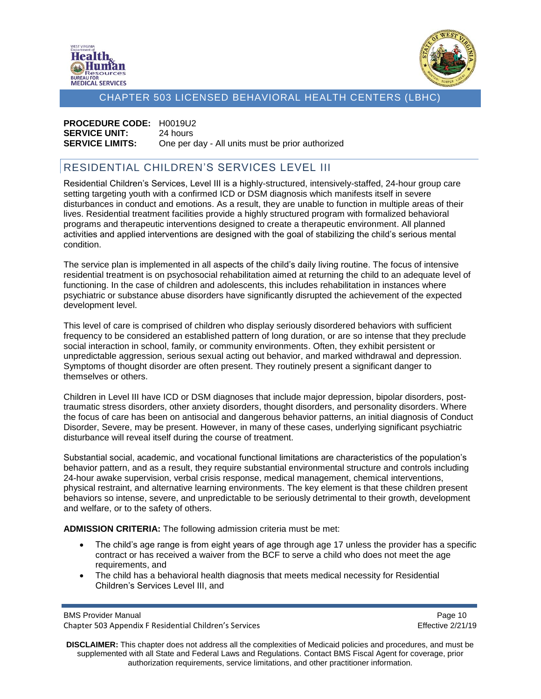



# **PROCEDURE CODE:** H0019U2 **SERVICE UNIT:** 24 hours

**SERVICE LIMITS:** One per day - All units must be prior authorized

## <span id="page-9-0"></span>RESIDENTIAL CHILDREN'S SERVICES LEVEL III

Residential Children's Services, Level III is a highly-structured, intensively-staffed, 24-hour group care setting targeting youth with a confirmed ICD or DSM diagnosis which manifests itself in severe disturbances in conduct and emotions. As a result, they are unable to function in multiple areas of their lives. Residential treatment facilities provide a highly structured program with formalized behavioral programs and therapeutic interventions designed to create a therapeutic environment. All planned activities and applied interventions are designed with the goal of stabilizing the child's serious mental condition.

The service plan is implemented in all aspects of the child's daily living routine. The focus of intensive residential treatment is on psychosocial rehabilitation aimed at returning the child to an adequate level of functioning. In the case of children and adolescents, this includes rehabilitation in instances where psychiatric or substance abuse disorders have significantly disrupted the achievement of the expected development level.

This level of care is comprised of children who display seriously disordered behaviors with sufficient frequency to be considered an established pattern of long duration, or are so intense that they preclude social interaction in school, family, or community environments. Often, they exhibit persistent or unpredictable aggression, serious sexual acting out behavior, and marked withdrawal and depression. Symptoms of thought disorder are often present. They routinely present a significant danger to themselves or others.

Children in Level III have ICD or DSM diagnoses that include major depression, bipolar disorders, posttraumatic stress disorders, other anxiety disorders, thought disorders, and personality disorders. Where the focus of care has been on antisocial and dangerous behavior patterns, an initial diagnosis of Conduct Disorder, Severe, may be present. However, in many of these cases, underlying significant psychiatric disturbance will reveal itself during the course of treatment.

Substantial social, academic, and vocational functional limitations are characteristics of the population's behavior pattern, and as a result, they require substantial environmental structure and controls including 24-hour awake supervision, verbal crisis response, medical management, chemical interventions, physical restraint, and alternative learning environments. The key element is that these children present behaviors so intense, severe, and unpredictable to be seriously detrimental to their growth, development and welfare, or to the safety of others.

**ADMISSION CRITERIA:** The following admission criteria must be met:

- The child's age range is from eight years of age through age 17 unless the provider has a specific contract or has received a waiver from the BCF to serve a child who does not meet the age requirements, and
- The child has a behavioral health diagnosis that meets medical necessity for Residential Children's Services Level III, and

BMS Provider Manual **Page 10** Chapter 503 Appendix F Residential Children's Services Effective 2/21/19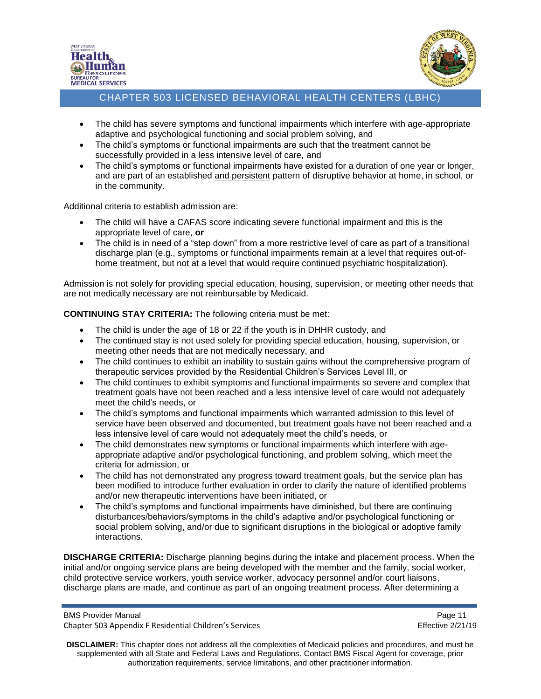



- The child has severe symptoms and functional impairments which interfere with age-appropriate adaptive and psychological functioning and social problem solving, and
- The child's symptoms or functional impairments are such that the treatment cannot be successfully provided in a less intensive level of care, and
- The child's symptoms or functional impairments have existed for a duration of one year or longer, and are part of an established and persistent pattern of disruptive behavior at home, in school, or in the community.

Additional criteria to establish admission are:

- The child will have a CAFAS score indicating severe functional impairment and this is the appropriate level of care, **or**
- The child is in need of a "step down" from a more restrictive level of care as part of a transitional discharge plan (e.g., symptoms or functional impairments remain at a level that requires out-ofhome treatment, but not at a level that would require continued psychiatric hospitalization).

Admission is not solely for providing special education, housing, supervision, or meeting other needs that are not medically necessary are not reimbursable by Medicaid.

#### **CONTINUING STAY CRITERIA:** The following criteria must be met:

- The child is under the age of 18 or 22 if the youth is in DHHR custody, and
- The continued stay is not used solely for providing special education, housing, supervision, or meeting other needs that are not medically necessary, and
- The child continues to exhibit an inability to sustain gains without the comprehensive program of therapeutic services provided by the Residential Children's Services Level III, or
- The child continues to exhibit symptoms and functional impairments so severe and complex that treatment goals have not been reached and a less intensive level of care would not adequately meet the child's needs, or
- The child's symptoms and functional impairments which warranted admission to this level of service have been observed and documented, but treatment goals have not been reached and a less intensive level of care would not adequately meet the child's needs, or
- The child demonstrates new symptoms or functional impairments which interfere with ageappropriate adaptive and/or psychological functioning, and problem solving, which meet the criteria for admission, or
- The child has not demonstrated any progress toward treatment goals, but the service plan has been modified to introduce further evaluation in order to clarify the nature of identified problems and/or new therapeutic interventions have been initiated, or
- The child's symptoms and functional impairments have diminished, but there are continuing disturbances/behaviors/symptoms in the child's adaptive and/or psychological functioning or social problem solving, and/or due to significant disruptions in the biological or adoptive family interactions.

**DISCHARGE CRITERIA:** Discharge planning begins during the intake and placement process. When the initial and/or ongoing service plans are being developed with the member and the family, social worker, child protective service workers, youth service worker, advocacy personnel and/or court liaisons, discharge plans are made, and continue as part of an ongoing treatment process. After determining a

BMS Provider Manual **Page 11** No. 2012 12:30 No. 2013 12:30 No. 2014 12:30 No. 2014 12:30 No. 2014 12:30 No. 2014 12:30 No. 2014 12:30 No. 2014 12:30 No. 2014 12:30 No. 2014 12:30 No. 2014 12:30 No. 2014 12:30 No. 2014 12: Chapter 503 Appendix F Residential Children's Services Effective 2/21/19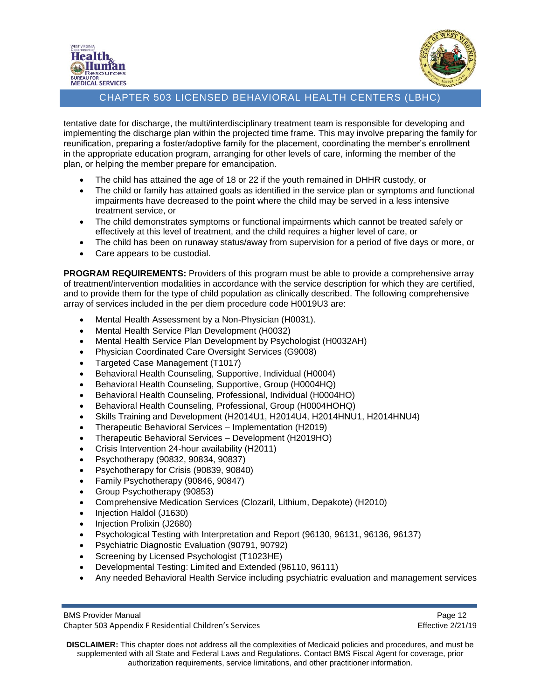



tentative date for discharge, the multi/interdisciplinary treatment team is responsible for developing and implementing the discharge plan within the projected time frame. This may involve preparing the family for reunification, preparing a foster/adoptive family for the placement, coordinating the member's enrollment in the appropriate education program, arranging for other levels of care, informing the member of the plan, or helping the member prepare for emancipation.

- The child has attained the age of 18 or 22 if the youth remained in DHHR custody, or
- The child or family has attained goals as identified in the service plan or symptoms and functional impairments have decreased to the point where the child may be served in a less intensive treatment service, or
- The child demonstrates symptoms or functional impairments which cannot be treated safely or effectively at this level of treatment, and the child requires a higher level of care, or
- The child has been on runaway status/away from supervision for a period of five days or more, or
- Care appears to be custodial.

**PROGRAM REQUIREMENTS:** Providers of this program must be able to provide a comprehensive array of treatment/intervention modalities in accordance with the service description for which they are certified, and to provide them for the type of child population as clinically described. The following comprehensive array of services included in the per diem procedure code H0019U3 are:

- Mental Health Assessment by a Non-Physician (H0031).
- Mental Health Service Plan Development (H0032)
- Mental Health Service Plan Development by Psychologist (H0032AH)
- Physician Coordinated Care Oversight Services (G9008)
- Targeted Case Management (T1017)
- Behavioral Health Counseling, Supportive, Individual (H0004)
- Behavioral Health Counseling, Supportive, Group (H0004HQ)
- Behavioral Health Counseling, Professional, Individual (H0004HO)
- Behavioral Health Counseling, Professional, Group (H0004HOHQ)
- Skills Training and Development (H2014U1, H2014U4, H2014HNU1, H2014HNU4)
- Therapeutic Behavioral Services Implementation (H2019)
- Therapeutic Behavioral Services Development (H2019HO)
- Crisis Intervention 24-hour availability (H2011)
- Psychotherapy (90832, 90834, 90837)
- Psychotherapy for Crisis (90839, 90840)
- Family Psychotherapy (90846, 90847)
- Group Psychotherapy (90853)
- Comprehensive Medication Services (Clozaril, Lithium, Depakote) (H2010)
- Injection Haldol (J1630)
- Injection Prolixin (J2680)
- Psychological Testing with Interpretation and Report (96130, 96131, 96136, 96137)
- Psychiatric Diagnostic Evaluation (90791, 90792)
- Screening by Licensed Psychologist (T1023HE)
- Developmental Testing: Limited and Extended (96110, 96111)
- Any needed Behavioral Health Service including psychiatric evaluation and management services

BMS Provider Manual **Page 12** Chapter 503 Appendix F Residential Children's Services Effective 2/21/19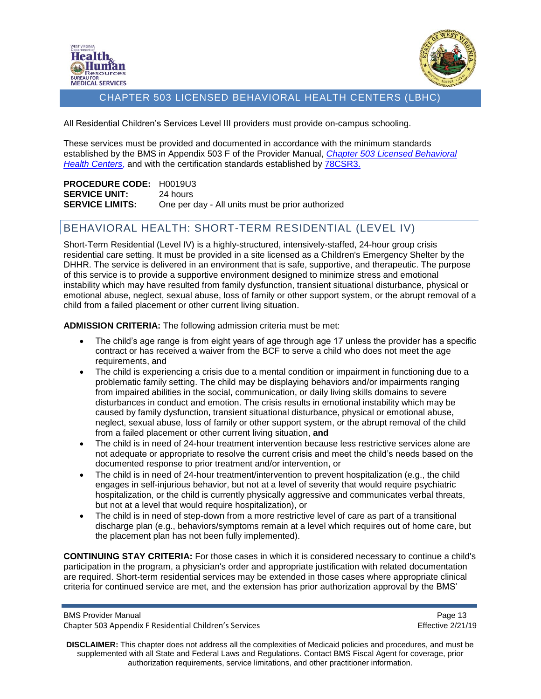



All Residential Children's Services Level III providers must provide on-campus schooling.

These services must be provided and documented in accordance with the minimum standards established by the BMS in Appendix 503 F of the Provider Manual, *[Chapter 503 Licensed Behavioral](https://dhhr.wv.gov/bms/Pages/Manuals.aspx)  [Health Centers](https://dhhr.wv.gov/bms/Pages/Manuals.aspx)*, and with the certification standards established by [78CSR3.](https://dhhr.wv.gov/bcf/Providers/Documents/Residential%20Child%20Care%20Facilities%20Regulations.pdf)

**PROCEDURE CODE:** H0019U3 **SERVICE UNIT:** 24 hours **SERVICE LIMITS:** One per day - All units must be prior authorized

## <span id="page-12-0"></span>BEHAVIORAL HEALTH: SHORT-TERM RESIDENTIAL (LEVEL IV)

Short-Term Residential (Level IV) is a highly-structured, intensively-staffed, 24-hour group crisis residential care setting. It must be provided in a site licensed as a Children's Emergency Shelter by the DHHR. The service is delivered in an environment that is safe, supportive, and therapeutic. The purpose of this service is to provide a supportive environment designed to minimize stress and emotional instability which may have resulted from family dysfunction, transient situational disturbance, physical or emotional abuse, neglect, sexual abuse, loss of family or other support system, or the abrupt removal of a child from a failed placement or other current living situation.

**ADMISSION CRITERIA:** The following admission criteria must be met:

- The child's age range is from eight years of age through age 17 unless the provider has a specific contract or has received a waiver from the BCF to serve a child who does not meet the age requirements, and
- The child is experiencing a crisis due to a mental condition or impairment in functioning due to a problematic family setting. The child may be displaying behaviors and/or impairments ranging from impaired abilities in the social, communication, or daily living skills domains to severe disturbances in conduct and emotion. The crisis results in emotional instability which may be caused by family dysfunction, transient situational disturbance, physical or emotional abuse, neglect, sexual abuse, loss of family or other support system, or the abrupt removal of the child from a failed placement or other current living situation, **and**
- The child is in need of 24-hour treatment intervention because less restrictive services alone are not adequate or appropriate to resolve the current crisis and meet the child's needs based on the documented response to prior treatment and/or intervention, or
- The child is in need of 24-hour treatment/intervention to prevent hospitalization (e.g., the child engages in self-injurious behavior, but not at a level of severity that would require psychiatric hospitalization, or the child is currently physically aggressive and communicates verbal threats, but not at a level that would require hospitalization), or
- The child is in need of step-down from a more restrictive level of care as part of a transitional discharge plan (e.g., behaviors/symptoms remain at a level which requires out of home care, but the placement plan has not been fully implemented).

**CONTINUING STAY CRITERIA:** For those cases in which it is considered necessary to continue a child's participation in the program, a physician's order and appropriate justification with related documentation are required. Short-term residential services may be extended in those cases where appropriate clinical criteria for continued service are met, and the extension has prior authorization approval by the BMS'

BMS Provider Manual **Page 13** Chapter 503 Appendix F Residential Children's Services Effective 2/21/19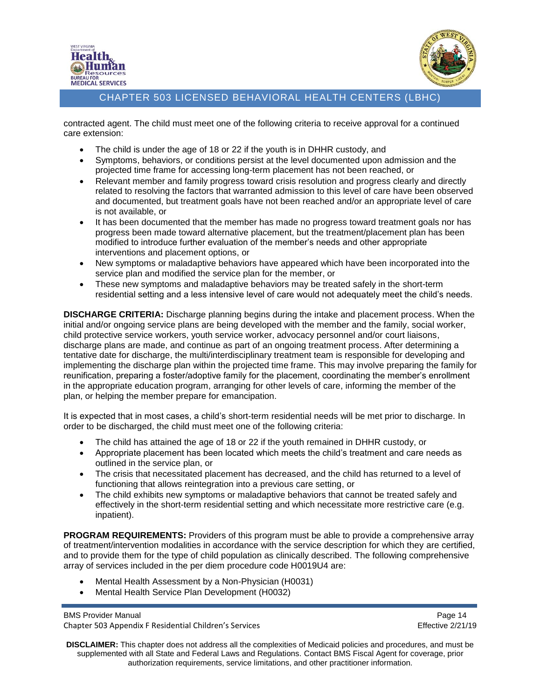



contracted agent. The child must meet one of the following criteria to receive approval for a continued care extension:

- The child is under the age of 18 or 22 if the youth is in DHHR custody, and
- Symptoms, behaviors, or conditions persist at the level documented upon admission and the projected time frame for accessing long-term placement has not been reached, or
- Relevant member and family progress toward crisis resolution and progress clearly and directly related to resolving the factors that warranted admission to this level of care have been observed and documented, but treatment goals have not been reached and/or an appropriate level of care is not available, or
- It has been documented that the member has made no progress toward treatment goals nor has progress been made toward alternative placement, but the treatment/placement plan has been modified to introduce further evaluation of the member's needs and other appropriate interventions and placement options, or
- New symptoms or maladaptive behaviors have appeared which have been incorporated into the service plan and modified the service plan for the member, or
- These new symptoms and maladaptive behaviors may be treated safely in the short-term residential setting and a less intensive level of care would not adequately meet the child's needs.

**DISCHARGE CRITERIA:** Discharge planning begins during the intake and placement process. When the initial and/or ongoing service plans are being developed with the member and the family, social worker, child protective service workers, youth service worker, advocacy personnel and/or court liaisons, discharge plans are made, and continue as part of an ongoing treatment process. After determining a tentative date for discharge, the multi/interdisciplinary treatment team is responsible for developing and implementing the discharge plan within the projected time frame. This may involve preparing the family for reunification, preparing a foster/adoptive family for the placement, coordinating the member's enrollment in the appropriate education program, arranging for other levels of care, informing the member of the plan, or helping the member prepare for emancipation.

It is expected that in most cases, a child's short-term residential needs will be met prior to discharge. In order to be discharged, the child must meet one of the following criteria:

- The child has attained the age of 18 or 22 if the youth remained in DHHR custody, or
- Appropriate placement has been located which meets the child's treatment and care needs as outlined in the service plan, or
- The crisis that necessitated placement has decreased, and the child has returned to a level of functioning that allows reintegration into a previous care setting, or
- The child exhibits new symptoms or maladaptive behaviors that cannot be treated safely and effectively in the short-term residential setting and which necessitate more restrictive care (e.g. inpatient).

**PROGRAM REQUIREMENTS:** Providers of this program must be able to provide a comprehensive array of treatment/intervention modalities in accordance with the service description for which they are certified, and to provide them for the type of child population as clinically described. The following comprehensive array of services included in the per diem procedure code H0019U4 are:

- Mental Health Assessment by a Non-Physician (H0031)
- Mental Health Service Plan Development (H0032)

BMS Provider Manual **Page 14** Chapter 503 Appendix F Residential Children's Services Effective 2/21/19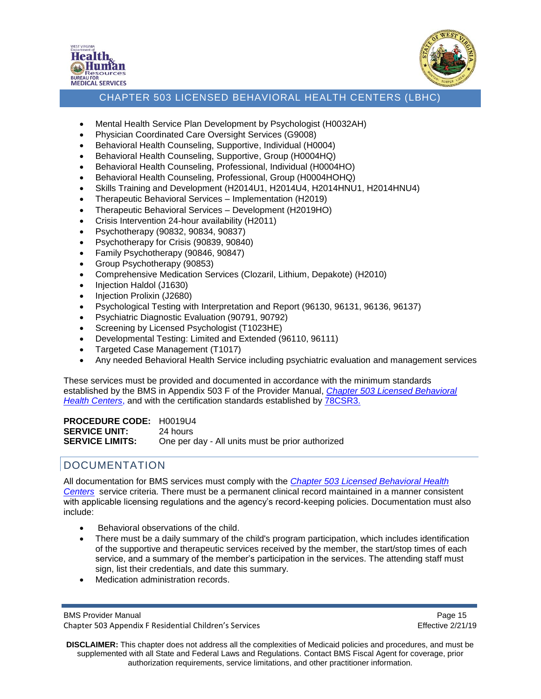



- Mental Health Service Plan Development by Psychologist (H0032AH)
- Physician Coordinated Care Oversight Services (G9008)
- Behavioral Health Counseling, Supportive, Individual (H0004)
- Behavioral Health Counseling, Supportive, Group (H0004HQ)
- Behavioral Health Counseling, Professional, Individual (H0004HO)
- Behavioral Health Counseling, Professional, Group (H0004HOHQ)
- Skills Training and Development (H2014U1, H2014U4, H2014HNU1, H2014HNU4)
- Therapeutic Behavioral Services Implementation (H2019)
- Therapeutic Behavioral Services Development (H2019HO)
- Crisis Intervention 24-hour availability (H2011)
- Psychotherapy (90832, 90834, 90837)
- Psychotherapy for Crisis (90839, 90840)
- Family Psychotherapy (90846, 90847)
- Group Psychotherapy (90853)
- Comprehensive Medication Services (Clozaril, Lithium, Depakote) (H2010)
- Injection Haldol (J1630)
- Injection Prolixin (J2680)
- Psychological Testing with Interpretation and Report (96130, 96131, 96136, 96137)
- Psychiatric Diagnostic Evaluation (90791, 90792)
- Screening by Licensed Psychologist (T1023HE)
- Developmental Testing: Limited and Extended (96110, 96111)
- Targeted Case Management (T1017)
- Any needed Behavioral Health Service including psychiatric evaluation and management services

These services must be provided and documented in accordance with the minimum standards established by the BMS in Appendix 503 F of the Provider Manual, *[Chapter 503 Licensed Behavioral](https://dhhr.wv.gov/bms/Pages/Manuals.aspx)  [Health Centers](https://dhhr.wv.gov/bms/Pages/Manuals.aspx)*, and with the certification standards established by [78CSR3.](https://dhhr.wv.gov/bcf/Providers/Documents/Residential%20Child%20Care%20Facilities%20Regulations.pdf)

**PROCEDURE CODE:** H0019U4 **SERVICE UNIT:** 24 hours **SERVICE LIMITS:** One per day - All units must be prior authorized

## <span id="page-14-0"></span>DOCUMENTATION

All documentation for BMS services must comply with the *[Chapter 503 Licensed Behavioral Health](https://dhhr.wv.gov/bms/Pages/Manuals.aspx)  [Centers](https://dhhr.wv.gov/bms/Pages/Manuals.aspx)* service criteria. There must be a permanent clinical record maintained in a manner consistent with applicable licensing regulations and the agency's record-keeping policies. Documentation must also include:

- Behavioral observations of the child.
- There must be a daily summary of the child's program participation, which includes identification of the supportive and therapeutic services received by the member, the start/stop times of each service, and a summary of the member's participation in the services. The attending staff must sign, list their credentials, and date this summary.
- Medication administration records.

BMS Provider Manual **Page 15** Chapter 503 Appendix F Residential Children's Services Effective 2/21/19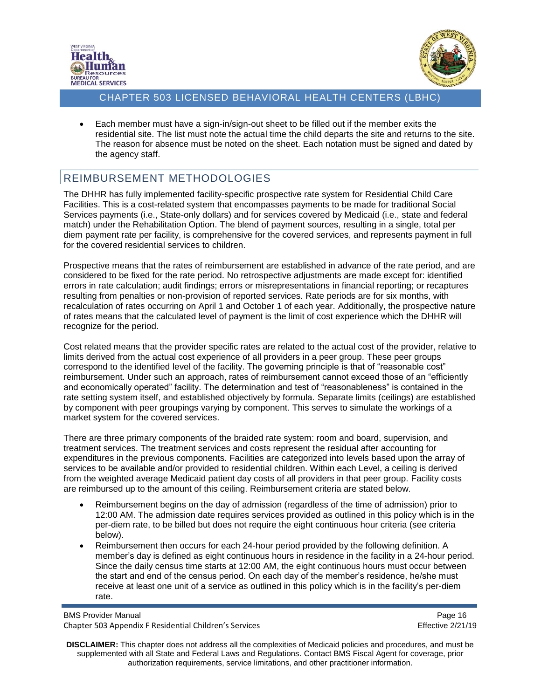



• Each member must have a sign-in/sign-out sheet to be filled out if the member exits the residential site. The list must note the actual time the child departs the site and returns to the site. The reason for absence must be noted on the sheet. Each notation must be signed and dated by the agency staff.

## <span id="page-15-0"></span>REIMBURSEMENT METHODOLOGIES

The DHHR has fully implemented facility-specific prospective rate system for Residential Child Care Facilities. This is a cost-related system that encompasses payments to be made for traditional Social Services payments (i.e., State-only dollars) and for services covered by Medicaid (i.e., state and federal match) under the Rehabilitation Option. The blend of payment sources, resulting in a single, total per diem payment rate per facility, is comprehensive for the covered services, and represents payment in full for the covered residential services to children.

Prospective means that the rates of reimbursement are established in advance of the rate period, and are considered to be fixed for the rate period. No retrospective adjustments are made except for: identified errors in rate calculation; audit findings; errors or misrepresentations in financial reporting; or recaptures resulting from penalties or non-provision of reported services. Rate periods are for six months, with recalculation of rates occurring on April 1 and October 1 of each year. Additionally, the prospective nature of rates means that the calculated level of payment is the limit of cost experience which the DHHR will recognize for the period.

Cost related means that the provider specific rates are related to the actual cost of the provider, relative to limits derived from the actual cost experience of all providers in a peer group. These peer groups correspond to the identified level of the facility. The governing principle is that of "reasonable cost" reimbursement. Under such an approach, rates of reimbursement cannot exceed those of an "efficiently and economically operated" facility. The determination and test of "reasonableness" is contained in the rate setting system itself, and established objectively by formula. Separate limits (ceilings) are established by component with peer groupings varying by component. This serves to simulate the workings of a market system for the covered services.

There are three primary components of the braided rate system: room and board, supervision, and treatment services. The treatment services and costs represent the residual after accounting for expenditures in the previous components. Facilities are categorized into levels based upon the array of services to be available and/or provided to residential children. Within each Level, a ceiling is derived from the weighted average Medicaid patient day costs of all providers in that peer group. Facility costs are reimbursed up to the amount of this ceiling. Reimbursement criteria are stated below.

- Reimbursement begins on the day of admission (regardless of the time of admission) prior to 12:00 AM. The admission date requires services provided as outlined in [this](https://dhhr.wv.gov/bms/Pages/Manuals.aspx) policy which is in the per-diem rate, to be billed but does not require the eight continuous hour criteria (see criteria below).
- Reimbursement then occurs for each 24-hour period provided by the following definition. A member's day is defined as eight continuous hours in residence in the facility in a 24-hour period. Since the daily census time starts at 12:00 AM, the eight continuous hours must occur between the start and end of the census period. On each day of the member's residence, he/she must receive at least one unit of a service as outlined in [this](https://dhhr.wv.gov/bms/Pages/Manuals.aspx) policy which is in the facility's per-diem rate.

BMS Provider Manual **Page 16** Page 16 Chapter 503 Appendix F Residential Children's Services Effective 2/21/19